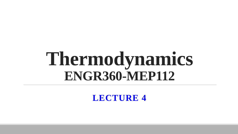# **Thermodynamics ENGR360-MEP112**

**LECTURE 4**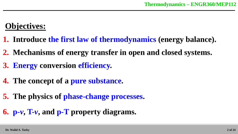### **Objectives:**

- **1. Introduce the first law of thermodynamics (energy balance).**
- **2. Mechanisms of energy transfer in open and closed systems.**
- **3. Energy conversion efficiency.**
- **4. The concept of a pure substance.**
- **5. The physics of phase-change processes.**

**6. p-***v***, T-***v***, and p-T property diagrams.**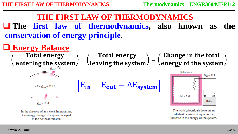**The first law of thermodynamics, also known as the conservation of energy principle.**



In the absence of any work interactions, the energy change of a system is equal to the net heat transfer.

The work (electrical) done on an adiabatic system is equal to the increase in the energy of the system.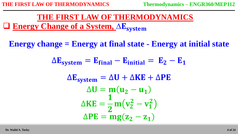#### **Energy Change of a System, AE** system **THE FIRST LAW OF THERMODYNAMICS**

**Energy change = Energy at final state - Energy at initial state**

$$
\Delta E_{system} = E_{final} - E_{initial} = E_2 - E_1
$$
  
\n
$$
\Delta E_{system} = \Delta U + \Delta KE + \Delta PE
$$
  
\n
$$
\Delta U = m(u_2 - u_1)
$$
  
\n
$$
\Delta KE = \frac{1}{2} m(v_2^2 - v_1^2)
$$
  
\n
$$
\Delta PE = mg(z_2 - z_1)
$$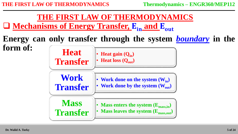

**Energy can only transfer through the system** *boundary* **in the form of: Heat** 

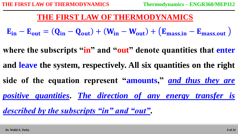$E_{in} - E_{out} = (Q_{in} - Q_{out}) + (W_{in} - W_{out}) + (E_{mass,in} - E_{mass,out})$ 

where the subscripts "in" and "out" denote quantities that enter **and leave the system, respectively. All six quantities on the right side of the equation represent "amounts,"** *and thus they are positive quantities***.** *The direction of any energy transfer is described by the subscripts "in" and "out"***.**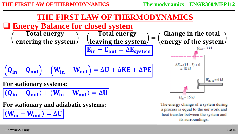#### **Energy Balance for closed system**

**Total energy**  $(1)$  =  $\left(\frac{1}{1}$  =  $\left(\frac{1}{1}$  =  $\left(\frac{1}{1}$  =  $\frac{1}{1}$  =  $\left(\frac{1}{1}$  =  $\frac{1}{1}$  =  $\frac{1}{1}$  =  $\frac{1}{1}$  =  $\frac{1}{1}$  =  $\frac{1}{1}$  =  $\frac{1}{1}$  =  $\frac{1}{1}$  =  $\frac{1}{1}$  =  $\frac{1}{1}$  =  $\frac{1}{1}$  =  $\frac{1}{1}$  =  $\frac{1}{1}$  = **Total energy** =  $E_{in} - E_{out} = \Delta E_{system}$ 

$$
(\mathbf{Q}_{in} - \mathbf{Q}_{out}) + (\mathbf{W}_{in} - \mathbf{W}_{out}) = \Delta \mathbf{U} + \Delta \mathbf{KE} + \Delta \mathbf{PE}
$$

**For stationary systems:**

 $(Q_{in} - Q_{out}) + (W_{in} - W_{out}) = \Delta U$ 

**For stationary and adiabatic systems:**

 $(W_{\text{in}} - W_{\text{out}}) = \Delta U$ 



The energy change of a system during a process is equal to the net work and heat transfer between the system and its surroundings.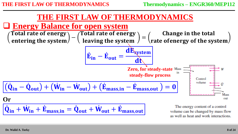

volume can be changed by mass flow as well as heat and work interactions.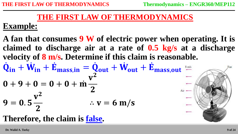#### **Example:**

**A fan that consumes 9 W of electric power when operating. It is claimed to discharge air at a rate of 0.5 kg/s at a discharge velocity of 8 m/s. Determine if this claim is reasonable.**  $\dot{\mathbf{Q}}_{in} + \dot{\mathbf{W}}_{in} + \dot{\mathbf{E}}_{mass,in} = \dot{\mathbf{Q}}_{out} + \dot{\mathbf{W}}_{out} + \dot{\mathbf{E}}_{mass,out}$  $0 + 9 + 0 = 0 + 0 + m$  $v^2$  $\overline{2}$  $9 = 0.5$ V  $\overline{2}$  $\overline{2}$  $\therefore$   $v = 6$  m/s

#### **Therefore, the claim is false.**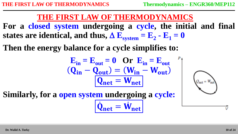**For a closed system undergoing a cycle, the initial and final**  states are identical, and thus,  $\Delta$   $\mathbf{E}_{\text{system}} = \mathbf{E}_{2} - \mathbf{E}_{1} = \mathbf{0}$ 

**Then the energy balance for a cycle simplifies to:**

$$
\mathbf{E}_{in} = \mathbf{E}_{out} = \mathbf{0} \quad \mathbf{Or} \quad \mathbf{E}_{in} = \mathbf{E}_{out}
$$
\n
$$
(\mathbf{Q}_{in} - \mathbf{Q}_{out}) = (\mathbf{W}_{in} - \mathbf{W}_{out})
$$
\n
$$
\boxed{\mathbf{Q}_{net} = \mathbf{W}_{net}}
$$

**Similarly, for a open system undergoing a cycle:**  $\dot{\mathbf{Q}}$  $_{net} = \dot{W}_{1}$ net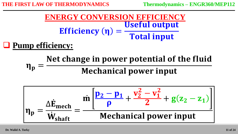= **ENERGY CONVERSION EFFICIENCY**

**Pump efficiency:**

 $\eta_{\rm p}$ Net change in power potential of the fluid **Mechanical power input** 

$$
\eta_p = \frac{\Delta \dot{E}_{mech}}{\dot{W}_{shaft}} = \frac{\dot{m} \left[ \frac{p_2 - p_1}{\rho} + \frac{v_2^2 - v_1^2}{2} + g(z_2 - z_1) \right]}{\text{Mechanical power input}}
$$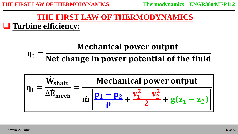**Turbine efficiency:**

# **Mechanical power output**

 $\eta_t =$ Net change in power potential of the fluid

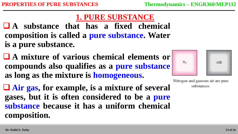#### **1. PURE SUBSTANCE**

 **A substance that has a fixed chemical composition is called a pure substance. Water is a pure substance.**

- **A mixture of various chemical elements or compounds also qualifies as a pure substance as long as the mixture is homogeneous.**
- **Air gas, for example, is a mixture of several gases, but it is often considered to be a pure substance because it has a uniform chemical composition.**



Nitrogen and gaseous air are pure substances.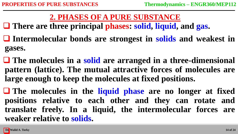## **2. PHASES OF A PURE SUBSTANCE**

**There are three principal phases: solid, liquid, and gas.**

- **Intermolecular bonds are strongest in solids and weakest in gases.**
- **The molecules in a solid are arranged in a three-dimensional pattern (lattice). The mutual attractive forces of molecules are large enough to keep the molecules at fixed positions.**

 **The molecules in the liquid phase are no longer at fixed positions relative to each other and they can rotate and translate freely. In a liquid, the intermolecular forces are weaker relative to solids.**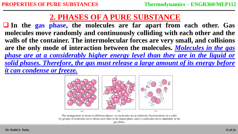#### **2. PHASES OF A PURE SUBSTANCE**

 **In the gas phase, the molecules are far apart from each other. Gas molecules move randomly and continuously colliding with each other and the walls of the container. The intermolecular forces are very small, and collisions are the only mode of interaction between the molecules.** *Molecules in the gas phase are at a considerably higher energy level than they are in the liquid or solid phases. Therefore, the gas must release a large amount of its energy before it can condense or freeze.*



The arrangement of atoms in different phases:  $(a)$  molecules are at relatively fixed positions in a solid, (b) groups of molecules move about each other in the liquid phase, and  $(c)$  molecules move randomly in the gas phase.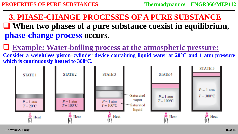**When two phases of a pure substance coexist in equilibrium, phase-change process occurs. 3. PHASE-CHANGE PROCESSES OF A PURE SUBSTANCE**

**Example: Water-boiling process at the atmospheric pressure:**

**Consider a weightless piston–cylinder device containing liquid water at 20°C and 1 atm pressure which is continuously heated to 300<sup>o</sup>C.**

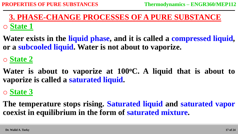#### o **State 1 3. PHASE-CHANGE PROCESSES OF A PURE SUBSTANCE**

**Water exists in the liquid phase, and it is called a compressed liquid, or a subcooled liquid. Water is not about to vaporize.**

#### o **State 2**

**Water is about to vaporize at 100<sup>o</sup>C. A liquid that is about to vaporize is called a saturated liquid.**

### o **State 3**

**The temperature stops rising. Saturated liquid and saturated vapor coexist in equilibrium in the form of saturated mixture.**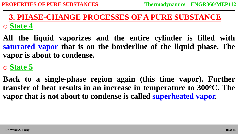#### o **State 4 3. PHASE-CHANGE PROCESSES OF A PURE SUBSTANCE**

**All the liquid vaporizes and the entire cylinder is filled with saturated vapor that is on the borderline of the liquid phase. The vapor is about to condense.**

#### o **State 5**

**Back to a single-phase region again (this time vapor). Further transfer of heat results in an increase in temperature to 300<sup>o</sup>C. The vapor that is not about to condense is called superheated vapor.**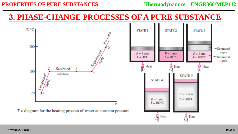#### **PROPERTIES OF PURE SUBSTANCES** Thermodynamics – **ENGR360/MEP112**

#### **3. PHASE-CHANGE PROCESSES OF A PURE SUBSTANCE**

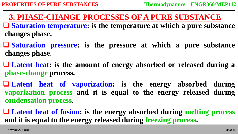- **Saturation temperature: is the temperature at which a pure substance changes phase. 3. PHASE-CHANGE PROCESSES OF A PURE SUBSTANCE**
- **Saturation pressure: is the pressure at which a pure substance changes phase.**
- **Latent heat: is the amount of energy absorbed or released during a phase-change process.**
- **Latent heat of vaporization: is the energy absorbed during vaporization process and it is equal to the energy released during condensation process.**
- **Latent heat of fusion: is the energy absorbed during melting process and it is equal to the energy released during freezing process.**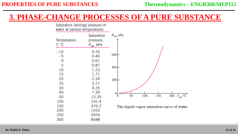#### **3. PHASE-CHANGE PROCESSES OF A PURE SUBSTANCE**

Saturation (boiling) pressure of water at various temperatures



**Dr. Walid A. Torky**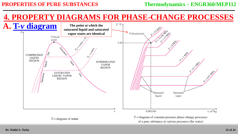## **4. PROPERTY DIAGRAMS FOR PHASE-CHANGE PROCESSES**

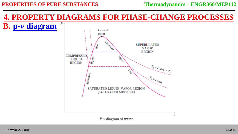#### **PROPERTIES OF PURE SUBSTANCES** Thermodynamics – **ENGR360/MEP112**

#### **4. PROPERTY DIAGRAMS FOR PHASE-CHANGE PROCESSES**

#### **B. p-***v* **diagram**